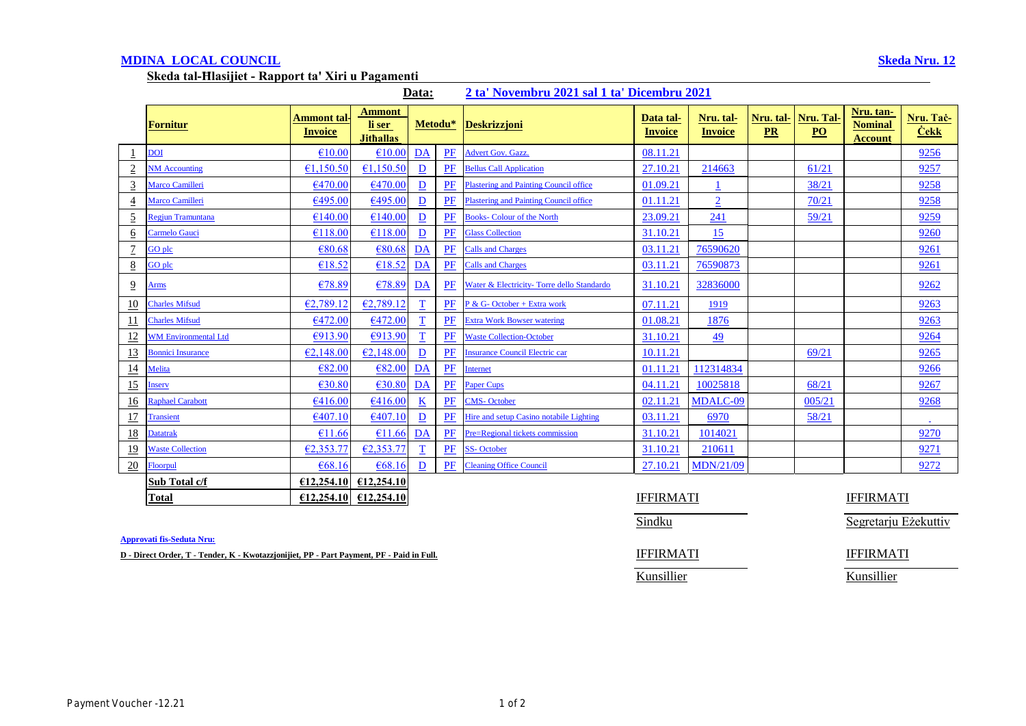# **MDINA LOCAL COUNCIL Skeda Nru. 12**

**Skeda tal-Ħlasijiet - Rapport ta' Xiri u Pagamenti** 

|  | Data: |  |  |  |  | 2 ta' Novembru 2021 sal 1 ta' Dicembru 2021 |
|--|-------|--|--|--|--|---------------------------------------------|
|--|-------|--|--|--|--|---------------------------------------------|

|                 | <b>Fornitur</b>             | <b>Ammont tal-</b><br><b>Invoice</b> | <b>Ammont</b><br>li ser<br><b>Jithallas</b> | Metodu*                  |    | <b>Deskrizzjoni</b>                           | Data tal-<br><b>Invoice</b> | Nru. tal-<br><b>Invoice</b> | Nru. tal-<br>PR | Nru. Tal-<br>$\underline{PO}$ | Nru. tan-<br><b>Nominal</b><br><b>Account</b> | Nru. Tac-<br>$\dot{\textbf{Cekk}}$ |
|-----------------|-----------------------------|--------------------------------------|---------------------------------------------|--------------------------|----|-----------------------------------------------|-----------------------------|-----------------------------|-----------------|-------------------------------|-----------------------------------------------|------------------------------------|
|                 | <b>DOI</b>                  | €10.00                               | €10.00                                      | DA                       | PF | <b>Advert Gov. Gazz.</b>                      | 08.11.21                    |                             |                 |                               |                                               | 9256                               |
| $\sqrt{2}$      | <b>NM</b> Accounting        | €1,150.50                            | €1.150.50                                   | $\overline{D}$           | PF | <b>Bellus Call Application</b>                | 27.10.21                    | 214663                      |                 | 61/21                         |                                               | 9257                               |
| $\overline{3}$  | Marco Camilleri             | €470.00                              | €470.00                                     | $\mathbf{D}$             | PF | <b>Plastering and Painting Council office</b> | 01.09.21                    |                             |                 | 38/21                         |                                               | 9258                               |
| $\overline{4}$  | Marco Camilleri             | €495.00                              | €495.00                                     | $\overline{D}$           | PF | <b>Plastering and Painting Council office</b> | 01.11.21                    | $\overline{2}$              |                 | 70/21                         |                                               | 9258                               |
| $\overline{5}$  | Regiun Tramuntana           | €140.00                              | €140.00                                     | $\mathbf{D}$             | PF | <b>Books- Colour of the North</b>             | 23.09.21                    | 241                         |                 | 59/21                         |                                               | 9259                               |
| $\underline{6}$ | Carmelo Gauci               | €118.00                              | €118.00                                     | $\overline{D}$           | PF | <b>Glass Collection</b>                       | 31.10.21                    | 15                          |                 |                               |                                               | 9260                               |
| $\overline{1}$  | GO plc                      | €80.68                               | €80.68                                      | DA                       | PF | <b>Calls and Charges</b>                      | 03.11.21                    | 76590620                    |                 |                               |                                               | 9261                               |
| $\underline{8}$ | GO plc                      | €18.52                               | £18.52                                      | DA                       | PF | <b>Calls and Charges</b>                      | 03.11.21                    | 76590873                    |                 |                               |                                               | 9261                               |
| $\overline{9}$  | Arms                        | €78.89                               | €78.89                                      | DA                       | PF | Water & Electricity-Torre dello Standardo     | 31.10.21                    | 32836000                    |                 |                               |                                               | 9262                               |
| 10              | <b>Charles Mifsud</b>       | €2,789.12                            | €2,789.12                                   | $\overline{\mathbf{T}}$  | PF | P & G- October + Extra work                   | 07.11.21                    | 1919                        |                 |                               |                                               | 9263                               |
| 11              | <b>Charles Mifsud</b>       | €472.00                              | €472.00                                     | $\overline{\mathbf{T}}$  | PF | <b>Extra Work Bowser watering</b>             | 01.08.21                    | 1876                        |                 |                               |                                               | 9263                               |
| 12              | <b>WM Environmental Ltd</b> | €913.90                              | €913.90                                     | $\overline{\mathbf{T}}$  | PF | <b>Waste Collection-October</b>               | 31.10.21                    | 49                          |                 |                               |                                               | 9264                               |
| 13              | <b>Bonnici Insurance</b>    | €2,148.00                            | E2,148.00                                   | $\underline{\mathbf{D}}$ | PF | <b>Insurance Council Electric car</b>         | 10.11.21                    |                             |                 | 69/21                         |                                               | 9265                               |
| $\frac{14}{1}$  | Melita                      | €82.00                               | €82.00                                      | DA                       | PF | <b>Internet</b>                               | 01.11.21                    | 112314834                   |                 |                               |                                               | 9266                               |
| 15              | Inserv                      | €30.80                               | €30.80                                      | DA                       | PF | <b>Paper Cups</b>                             | 04.11.21                    | 10025818                    |                 | 68/21                         |                                               | 9267                               |
| 16              | <b>Raphael Carabott</b>     | €416.00                              | €416.00                                     | $\underline{\mathbf{K}}$ | PF | <b>CMS-October</b>                            | 02.11.21                    | MDALC-09                    |                 | 005/21                        |                                               | 9268                               |
| 17              | <b>Transient</b>            | €407.10                              | E407.10                                     | $\underline{\mathbf{D}}$ | PF | Hire and setup Casino notabile Lighting       | 03.11.21                    | 6970                        |                 | 58/21                         |                                               | $\sim$                             |
| <u>18</u>       | <b>Datatrak</b>             | €11.66                               | €11.66                                      | DA                       | PF | Pre=Regional tickets commission               | 31.10.21                    | 1014021                     |                 |                               |                                               | 9270                               |
| <u>19</u>       | <b>Waste Collection</b>     | E2,353.77                            | E2,353.7'                                   | $\mathbf T$              | PF | <b>SS-October</b>                             | 31.10.21                    | 210611                      |                 |                               |                                               | 9271                               |
| 20              | Floorpul                    | €68.16                               | €68.16                                      | $\overline{D}$           | PF | <b>Cleaning Office Council</b>                | 27.10.21                    | <b>MDN/21/09</b>            |                 |                               |                                               | 9272                               |
|                 | Sub Total c/f               | £12,254.10                           | £12,254.10                                  |                          |    |                                               |                             |                             |                 |                               |                                               |                                    |
|                 | <b>Total</b>                | £12,254,10                           | £12,254.10                                  |                          |    |                                               | <b>IFFIRMATI</b>            |                             |                 |                               | <b>IFFIRMATI</b>                              |                                    |

**Approvati fis-Seduta Nru:**

**D** - Direct Order, T - Tender, K - Kwotazzjonijiet, PP - Part Payment, PF - Paid in Full. **IFFIRMATI** IFFIRMATI

Sindku Segretarju Eżekuttiv

Kunsillier Kunsillier